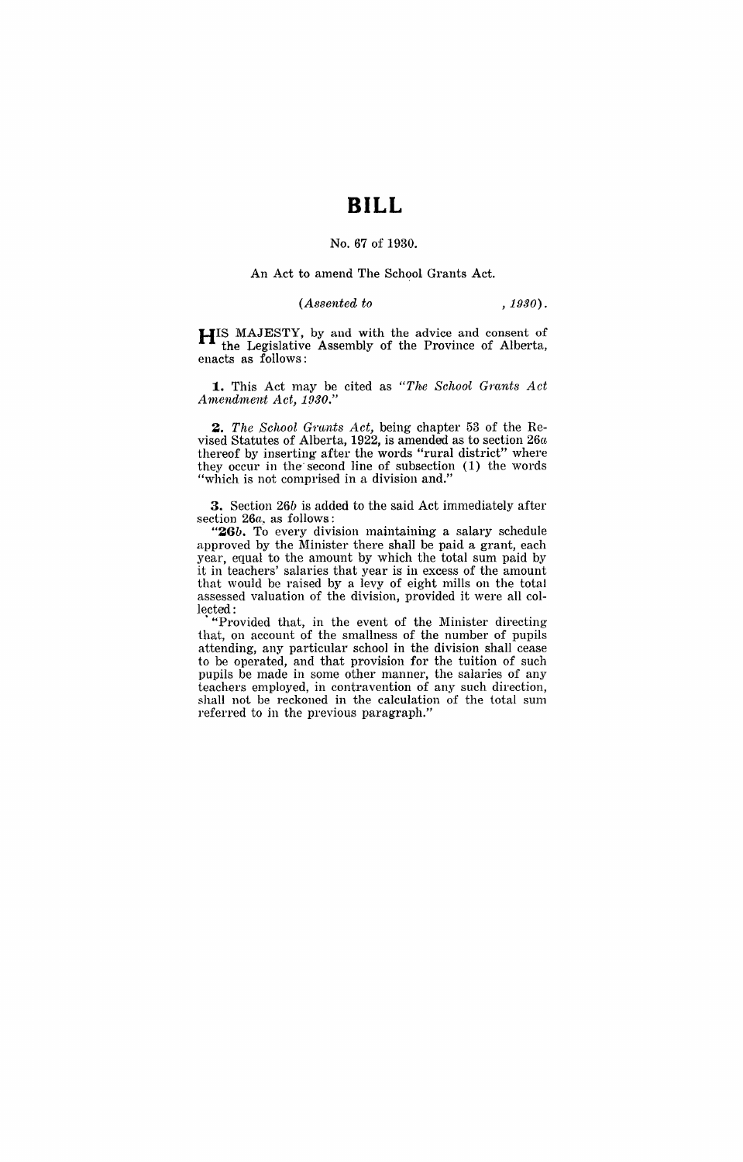# **BILL**

## No. 67 of 1930.

#### An Act to amend The School, Grants Act.

## *(Assented to ,1930).*

HIS MAJESTY, by and with the advice and consent of the Legislative Assembly of the Province of Alberta, enacts as follows:

1. This Act may be cited as "The School Grants Act *Amendment Act, 1930."* 

**2.** The School Grants Act, being chapter 53 of the Revised Statutes of Alberta, 1922, is amended as to section  $26a$ thereof by inserting after the words "rural district" where they occur in the second line of subsection (1) the words "which is not comprised in a division and."

3. Section 26b is added to the said Act immediately after section *26a.* as follows:

*"26b.* To every division maintaining a salary schedule approved by the Minister there shall be paid a grant, each year, equal to the amount by which the total sum paid by it in teachers' salaries that year is in excess of the amount that would be raised by a levy of eight mills on the total assessed valuation of the division, provided it were all collected:

. "'Provided that, in the event of the Minister directing that, on account of the smallness of the number of pupils attending, any particular school in the division shall cease to be operated, and that provision for the tuition of such pupils be made in some other manner, the salaries of any teachers employed, in contravention of any such direction, shall not. be reckoned in the calculation of the total sum referred to in the previous paragraph."